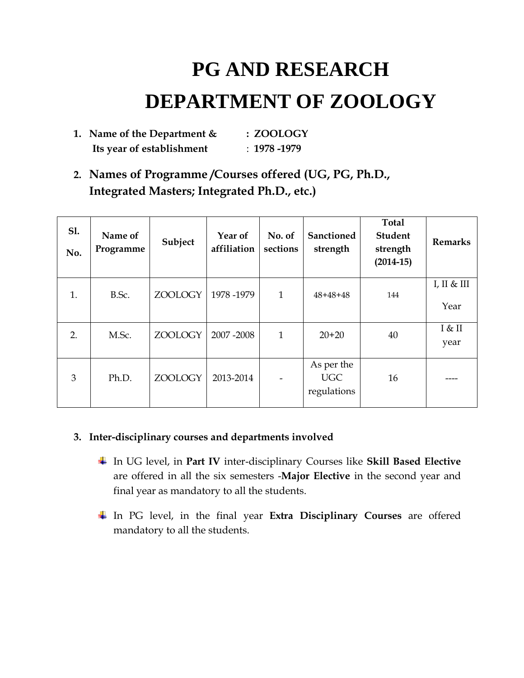# **PG AND RESEARCH DEPARTMENT OF ZOOLOGY**

| 1. Name of the Department $\&$ | : ZOOLOGY         |
|--------------------------------|-------------------|
| Its year of establishment      | $\pm 1978 - 1979$ |

**2. Names of Programme /Courses offered (UG, PG, Ph.D., Integrated Masters; Integrated Ph.D., etc.)**

| <b>S1.</b><br>No. | Name of<br>Programme | Subject | Year of<br>affiliation | No. of<br>sections | <b>Sanctioned</b><br>strength           | <b>Total</b><br><b>Student</b><br>strength<br>$(2014-15)$ | <b>Remarks</b>    |
|-------------------|----------------------|---------|------------------------|--------------------|-----------------------------------------|-----------------------------------------------------------|-------------------|
| 1.                | B.Sc.                | ZOOLOGY | 1978-1979              | 1                  | $48+48+48$                              | 144                                                       | I, II & H<br>Year |
| 2.                | M.Sc.                | ZOOLOGY | 2007-2008              | $\mathbf{1}$       | $20+20$                                 | 40                                                        | I & II<br>year    |
| 3                 | Ph.D.                | ZOOLOGY | 2013-2014              |                    | As per the<br><b>UGC</b><br>regulations | 16                                                        |                   |

#### **3. Inter-disciplinary courses and departments involved**

- In UG level, in **Part IV** inter-disciplinary Courses like **Skill Based Elective**  are offered in all the six semesters -**Major Elective** in the second year and final year as mandatory to all the students.
- In PG level, in the final year **Extra Disciplinary Courses** are offered mandatory to all the students.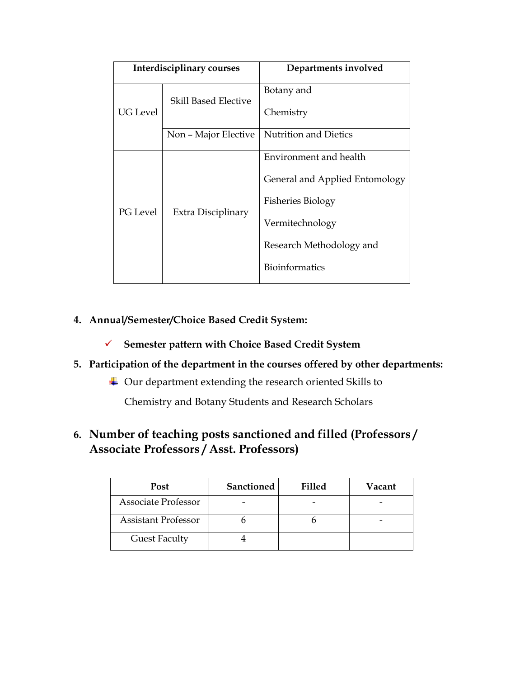|                 | Interdisciplinary courses   | Departments involved           |
|-----------------|-----------------------------|--------------------------------|
|                 | <b>Skill Based Elective</b> | Botany and                     |
| UG Level        |                             | Chemistry                      |
|                 | Non - Major Elective        | <b>Nutrition and Dietics</b>   |
|                 | Extra Disciplinary          | Environment and health         |
|                 |                             | General and Applied Entomology |
| <b>PG</b> Level |                             | <b>Fisheries Biology</b>       |
|                 |                             | Vermitechnology                |
|                 |                             | Research Methodology and       |
|                 |                             | <b>Bioinformatics</b>          |

#### **4. Annual/Semester/Choice Based Credit System:**

**Semester pattern with Choice Based Credit System**

#### **5. Participation of the department in the courses offered by other departments:**

Our department extending the research oriented Skills to

Chemistry and Botany Students and Research Scholars

#### **6. Number of teaching posts sanctioned and filled (Professors / Associate Professors / Asst. Professors)**

| <b>Post</b>                | <b>Sanctioned</b> | <b>Filled</b> | Vacant |
|----------------------------|-------------------|---------------|--------|
| <b>Associate Professor</b> |                   |               |        |
| <b>Assistant Professor</b> |                   |               |        |
| <b>Guest Faculty</b>       |                   |               |        |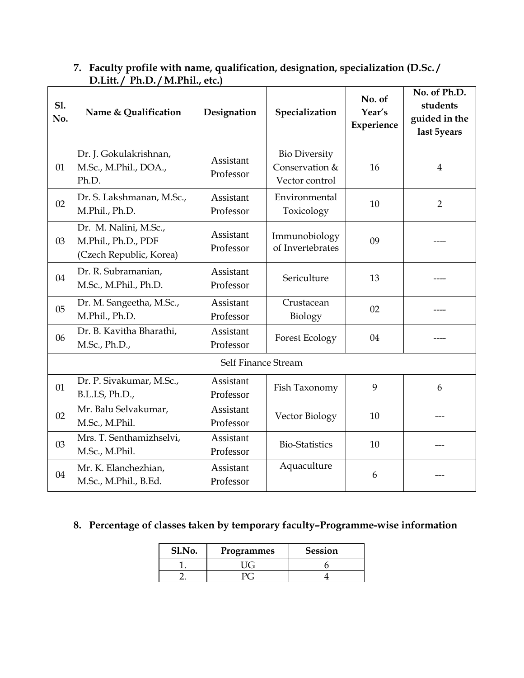| 7. Faculty profile with name, qualification, designation, specialization (D.Sc./ |
|----------------------------------------------------------------------------------|
| D.Litt./ Ph.D./M.Phil., etc.)                                                    |

| S1.<br>No. | Name & Qualification                                                    | Designation                   | Specialization                                           | No. of<br>Year's<br>Experience | No. of Ph.D.<br>students<br>guided in the<br>last 5years |
|------------|-------------------------------------------------------------------------|-------------------------------|----------------------------------------------------------|--------------------------------|----------------------------------------------------------|
| 01         | Dr. J. Gokulakrishnan,<br>M.Sc., M.Phil., DOA.,<br>Ph.D.                | <b>Assistant</b><br>Professor | <b>Bio Diversity</b><br>Conservation &<br>Vector control | 16                             | $\overline{4}$                                           |
| 02         | Dr. S. Lakshmanan, M.Sc.,<br>M.Phil., Ph.D.                             | <b>Assistant</b><br>Professor | Environmental<br>Toxicology                              | 10                             | $\overline{2}$                                           |
| 03         | Dr. M. Nalini, M.Sc.,<br>M.Phil., Ph.D., PDF<br>(Czech Republic, Korea) | Assistant<br>Professor        | Immunobiology<br>of Invertebrates                        | 09                             |                                                          |
| 04         | Dr. R. Subramanian,<br>M.Sc., M.Phil., Ph.D.                            | Assistant<br>Professor        | Sericulture                                              | 13                             |                                                          |
| 05         | Dr. M. Sangeetha, M.Sc.,<br>M.Phil., Ph.D.                              | <b>Assistant</b><br>Professor | Crustacean<br>Biology                                    | 02                             |                                                          |
| 06         | Dr. B. Kavitha Bharathi,<br>M.Sc., Ph.D.,                               | Assistant<br>Professor        | <b>Forest Ecology</b>                                    | 04                             |                                                          |
|            |                                                                         | Self Finance Stream           |                                                          |                                |                                                          |
| 01         | Dr. P. Sivakumar, M.Sc.,<br>B.L.I.S, Ph.D.,                             | <b>Assistant</b><br>Professor | Fish Taxonomy                                            | 9                              | 6                                                        |
| 02         | Mr. Balu Selvakumar,<br>M.Sc., M.Phil.                                  | <b>Assistant</b><br>Professor | Vector Biology                                           | 10                             |                                                          |
| 03         | Mrs. T. Senthamizhselvi,<br>M.Sc., M.Phil.                              | Assistant<br>Professor        | <b>Bio-Statistics</b>                                    | 10                             |                                                          |
| 04         | Mr. K. Elanchezhian,<br>M.Sc., M.Phil., B.Ed.                           | <b>Assistant</b><br>Professor | Aquaculture                                              | 6                              |                                                          |

## **8. Percentage of classes taken by temporary faculty–Programme-wise information**

| Sl.No. | Programmes | <b>Session</b> |
|--------|------------|----------------|
|        |            |                |
|        |            |                |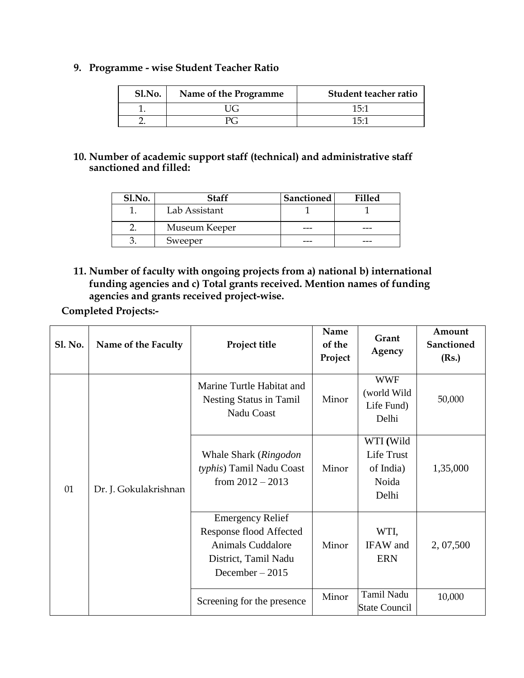#### **9. Programme - wise Student Teacher Ratio**

| Sl.No. | Name of the Programme | Student teacher ratio |
|--------|-----------------------|-----------------------|
|        | UG                    | 15:1                  |
|        | PC.                   | 15.1                  |

#### **10. Number of academic support staff (technical) and administrative staff sanctioned and filled:**

| Sl.No. | <b>Staff</b>  | <b>Sanctioned</b> | <b>Filled</b> |
|--------|---------------|-------------------|---------------|
|        | Lab Assistant |                   |               |
|        | Museum Keeper |                   |               |
|        | Sweeper       |                   |               |

**11. Number of faculty with ongoing projects from a) national b) international funding agencies and c) Total grants received. Mention names of funding agencies and grants received project-wise.**

**Completed Projects:-**

| <b>Sl. No.</b> | Name of the Faculty   | Project title                                                                                                              | Name<br>of the<br>Project | Grant<br>Agency                                        | Amount<br>Sanctioned<br>(Rs.) |
|----------------|-----------------------|----------------------------------------------------------------------------------------------------------------------------|---------------------------|--------------------------------------------------------|-------------------------------|
| 01             | Dr. J. Gokulakrishnan | Marine Turtle Habitat and<br>Nesting Status in Tamil<br>Nadu Coast                                                         | Minor                     | <b>WWF</b><br>(world Wild<br>Life Fund)<br>Delhi       | 50,000                        |
|                |                       | Whale Shark (Ringodon<br>typhis) Tamil Nadu Coast<br>from $2012 - 2013$                                                    | Minor                     | WTI (Wild<br>Life Trust<br>of India)<br>Noida<br>Delhi | 1,35,000                      |
|                |                       | <b>Emergency Relief</b><br>Response flood Affected<br><b>Animals Cuddalore</b><br>District, Tamil Nadu<br>December $-2015$ | Minor                     | WTI,<br>IFAW and<br><b>ERN</b>                         | 2, 07, 500                    |
|                |                       | Screening for the presence                                                                                                 | Minor                     | Tamil Nadu<br><b>State Council</b>                     | 10,000                        |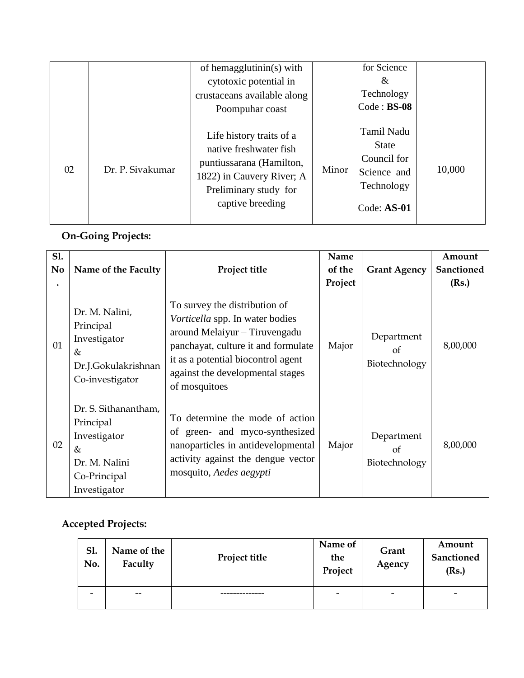|    |                  | of hemagglutinin(s) with<br>cytotoxic potential in<br>crustaceans available along<br>Poompuhar coast                                                     |       | for Science<br>&<br>Technology<br>$Code : BS-08$                                        |        |
|----|------------------|----------------------------------------------------------------------------------------------------------------------------------------------------------|-------|-----------------------------------------------------------------------------------------|--------|
| 02 | Dr. P. Sivakumar | Life history traits of a<br>native freshwater fish<br>puntiussarana (Hamilton,<br>1822) in Cauvery River; A<br>Preliminary study for<br>captive breeding | Minor | Tamil Nadu<br><b>State</b><br>Council for<br>Science and<br>Technology<br>$Code: AS-01$ | 10,000 |

## **On-Going Projects:**

| <b>S1.</b><br>N <sub>o</sub> | Name of the Faculty                                                                                        | Project title                                                                                                                                                                                                                       | Name<br>of the<br>Project | <b>Grant Agency</b>               | Amount<br>Sanctioned<br>(Rs.) |
|------------------------------|------------------------------------------------------------------------------------------------------------|-------------------------------------------------------------------------------------------------------------------------------------------------------------------------------------------------------------------------------------|---------------------------|-----------------------------------|-------------------------------|
| 01                           | Dr. M. Nalini,<br>Principal<br>Investigator<br>&<br>Dr.J.Gokulakrishnan<br>Co-investigator                 | To survey the distribution of<br>Vorticella spp. In water bodies<br>around Melaiyur – Tiruvengadu<br>panchayat, culture it and formulate<br>it as a potential biocontrol agent<br>against the developmental stages<br>of mosquitoes | Major                     | Department<br>of<br>Biotechnology | 8,00,000                      |
| 02                           | Dr. S. Sithanantham,<br>Principal<br>Investigator<br>$\&$<br>Dr. M. Nalini<br>Co-Principal<br>Investigator | To determine the mode of action<br>of green- and myco-synthesized<br>nanoparticles in antidevelopmental<br>activity against the dengue vector<br>mosquito, Aedes aegypti                                                            | Major                     | Department<br>of<br>Biotechnology | 8,00,000                      |

### **Accepted Projects:**

| S1.<br>No.               | Name of the<br>Faculty | <b>Project title</b> | Name of<br>the<br>Project | Grant<br>Agency          | Amount<br>Sanctioned<br>(Rs.) |
|--------------------------|------------------------|----------------------|---------------------------|--------------------------|-------------------------------|
| $\overline{\phantom{a}}$ | $- -$                  |                      | $\overline{\phantom{0}}$  | $\overline{\phantom{0}}$ | $\overline{\phantom{0}}$      |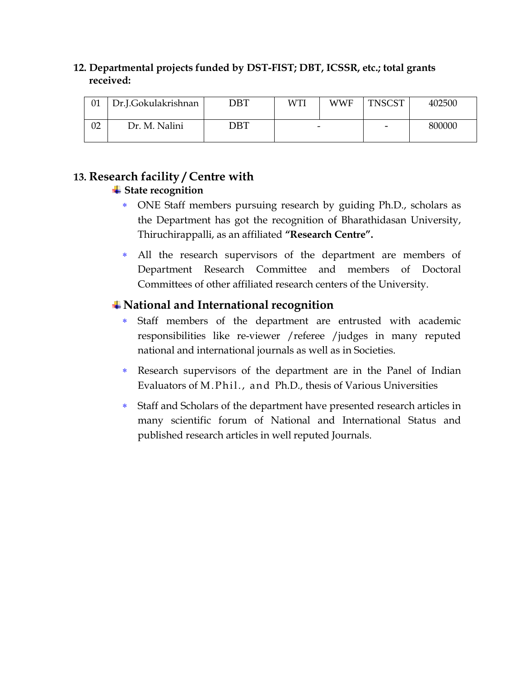#### **12. Departmental projects funded by DST-FIST; DBT, ICSSR, etc.; total grants received:**

| 01 | Dr.J.Gokulakrishnan | $\overline{\mathrm{DBT}}$ | WTI                      | WWF | <b>TNSCST</b>            | 402500 |
|----|---------------------|---------------------------|--------------------------|-----|--------------------------|--------|
| 02 | Dr. M. Nalini       | DBT                       | $\overline{\phantom{0}}$ |     | $\overline{\phantom{0}}$ | 800000 |

### **13. Research facility / Centre with**

#### **State recognition**

- ONE Staff members pursuing research by guiding Ph.D., scholars as the Department has got the recognition of Bharathidasan University, Thiruchirappalli, as an affiliated **"Research Centre".**
- All the research supervisors of the department are members of Department Research Committee and members of Doctoral Committees of other affiliated research centers of the University.

## **National and International recognition**

- Staff members of the department are entrusted with academic responsibilities like re-viewer /referee /judges in many reputed national and international journals as well as in Societies.
- Research supervisors of the department are in the Panel of Indian Evaluators of M. Phil., and Ph.D., thesis of Various Universities
- Staff and Scholars of the department have presented research articles in many scientific forum of National and International Status and published research articles in well reputed Journals.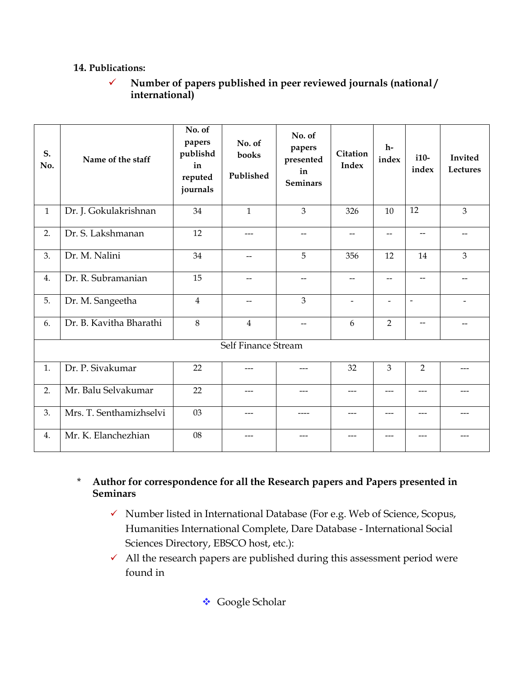#### **14. Publications:**

 **Number of papers published in peer reviewed journals (national / international)**

| S.<br>No.    | Name of the staff       | No. of<br>papers<br>publishd<br>in<br>reputed<br>journals | No. of<br>books<br>Published | No. of<br>papers<br>presented<br>in<br><b>Seminars</b> | Citation<br><b>Index</b> | $h-$<br>index            | $i10-$<br>index          | Invited<br>Lectures |
|--------------|-------------------------|-----------------------------------------------------------|------------------------------|--------------------------------------------------------|--------------------------|--------------------------|--------------------------|---------------------|
| $\mathbf{1}$ | Dr. J. Gokulakrishnan   | 34                                                        | $\mathbf{1}$                 | 3                                                      | 326                      | 10                       | 12                       | $\overline{3}$      |
| 2.           | Dr. S. Lakshmanan       | 12                                                        | $---$                        | $-$                                                    | $-$                      | --                       | $\qquad \qquad -$        | $-$                 |
| 3.           | Dr. M. Nalini           | 34                                                        | $\qquad \qquad \qquad -$     | 5                                                      | 356                      | 12                       | 14                       | $\overline{3}$      |
| 4.           | Dr. R. Subramanian      | 15                                                        | --                           | --                                                     | $- -$                    | $\overline{\phantom{a}}$ | $\overline{\phantom{0}}$ |                     |
| 5.           | Dr. M. Sangeetha        | $\overline{4}$                                            | $\overline{\phantom{0}}$     | 3                                                      | $\overline{a}$           | $\overline{\phantom{a}}$ | $\overline{\phantom{a}}$ |                     |
| 6.           | Dr. B. Kavitha Bharathi | 8                                                         | $\overline{4}$               | $\overline{\phantom{0}}$                               | 6                        | $\overline{2}$           |                          |                     |
|              |                         |                                                           | Self Finance Stream          |                                                        |                          |                          |                          |                     |
| 1.           | Dr. P. Sivakumar        | 22                                                        | $---$                        | $\qquad \qquad \cdots$                                 | 32                       | 3                        | $\overline{2}$           | $---$               |
| 2.           | Mr. Balu Selvakumar     | 22                                                        | ---                          | $---$                                                  | ---                      | $---$                    | $---$                    |                     |
| 3.           | Mrs. T. Senthamizhselvi | 03                                                        | ---                          | ----                                                   | ---                      | $---$                    | $---$                    | $---$               |
| 4.           | Mr. K. Elanchezhian     | 08                                                        | ---                          | ---                                                    | ---                      | ---                      |                          |                     |

\* **Author for correspondence for all the Research papers and Papers presented in Seminars**

- $\checkmark$  Number listed in International Database (For e.g. Web of Science, Scopus, Humanities International Complete, Dare Database - International Social Sciences Directory, EBSCO host, etc.):
- $\checkmark$  All the research papers are published during this assessment period were found in

**❖** Google Scholar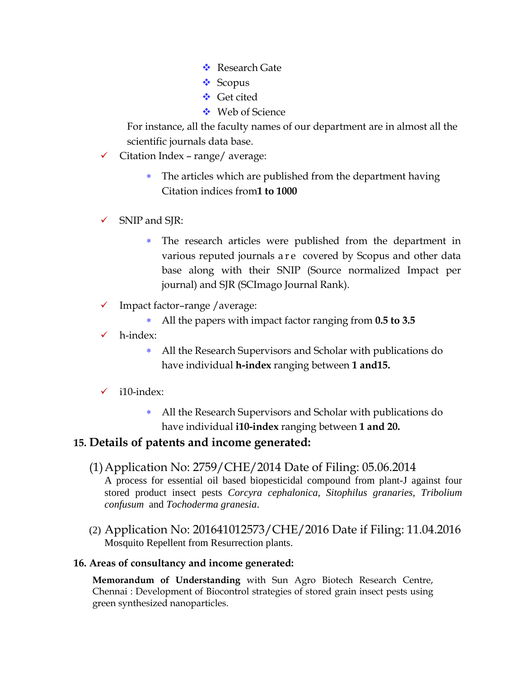- ❖ Research Gate
- ❖ Scopus
- **❖** Get cited
- **❖** Web of Science

For instance, all the faculty names of our department are in almost all the scientific journals data base.

- $\checkmark$  Citation Index range/ average:
	- The articles which are published from the department having Citation indices from**1 to 1000**
- $\checkmark$  SNIP and SJR:
	- The research articles were published from the department in various reputed journals a r e covered by Scopus and other data base along with their SNIP (Source normalized Impact per journal) and SJR (SCImago Journal Rank).
- $\checkmark$  Impact factor-range / average:
	- All the papers with impact factor ranging from **0.5 to 3.5**
- h-index:
	- All the Research Supervisors and Scholar with publications do have individual **h-index** ranging between **1 and15.**
- $\checkmark$  i10-index:
	- All the Research Supervisors and Scholar with publications do have individual **i10-index** ranging between **1 and 20.**

#### **15. Details of patents and income generated:**

- (1)Application No: 2759/CHE/2014 Date of Filing: 05.06.2014 A process for essential oil based biopesticidal compound from plant-J against four stored product insect pests *Corcyra cephalonica, Sitophilus granaries, Tribolium confusum* and *Tochoderma granesia*.
- (2) Application No: 201641012573/CHE/2016 Date if Filing: 11.04.2016 Mosquito Repellent from Resurrection plants.

#### **16. Areas of consultancy and income generated:**

**Memorandum of Understanding** with Sun Agro Biotech Research Centre, Chennai : Development of Biocontrol strategies of stored grain insect pests using green synthesized nanoparticles.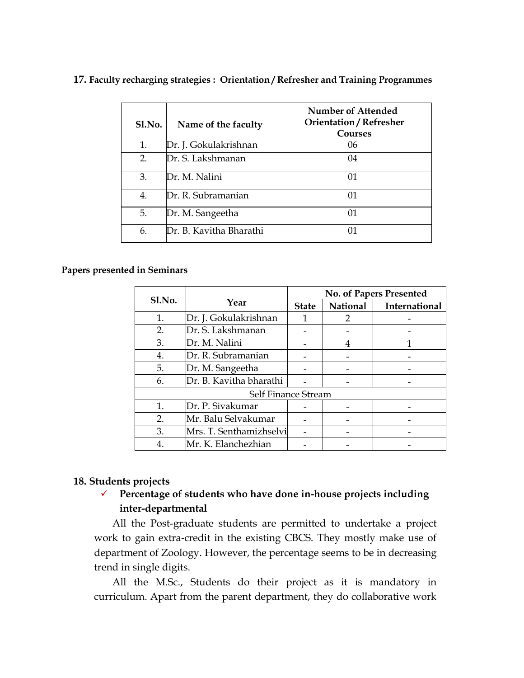| Sl.No. | Name of the faculty     | Number of Attended<br><b>Orientation / Refresher</b><br>Courses |
|--------|-------------------------|-----------------------------------------------------------------|
| 1.     | Dr. J. Gokulakrishnan   | 06                                                              |
| 2.     | Dr. S. Lakshmanan       | 04                                                              |
| 3.     | Dr. M. Nalini           | 01                                                              |
| 4.     | Dr. R. Subramanian      | 01                                                              |
| 5.     | Dr. M. Sangeetha        | 01                                                              |
| 6.     | Dr. B. Kavitha Bharathi |                                                                 |

#### **17. Faculty recharging strategies : Orientation / Refresher and Training Programmes**

#### **Papers presented in Seminars**

|                |                         | No. of Papers Presented |                 |               |  |  |
|----------------|-------------------------|-------------------------|-----------------|---------------|--|--|
| Sl.No.<br>Year |                         | <b>State</b>            | <b>National</b> | International |  |  |
| 1.             | Dr. J. Gokulakrishnan   |                         | 2               |               |  |  |
| 2.             | Dr. S. Lakshmanan       |                         |                 |               |  |  |
| 3.             | Dr. M. Nalini           |                         | 4               |               |  |  |
| 4.             | Dr. R. Subramanian      |                         |                 |               |  |  |
| 5.             | Dr. M. Sangeetha        |                         |                 |               |  |  |
| 6.             | Dr. B. Kavitha bharathi |                         |                 |               |  |  |
|                | Self Finance Stream     |                         |                 |               |  |  |
| $\mathbf{1}$ . | Dr. P. Sivakumar        |                         |                 |               |  |  |
| 2.             | Mr. Balu Selvakumar     |                         |                 |               |  |  |
| 3.             | Mrs. T. Senthamizhselvi |                         |                 |               |  |  |
| 4.             | Mr. K. Elanchezhian     |                         |                 |               |  |  |

#### **18. Students projects**

 **Percentage of students who have done in-house projects including inter-departmental**

All the Post-graduate students are permitted to undertake a project work to gain extra-credit in the existing CBCS. They mostly make use of department of Zoology. However, the percentage seems to be in decreasing trend in single digits.

All the M.Sc., Students do their project as it is mandatory in curriculum. Apart from the parent department, they do collaborative work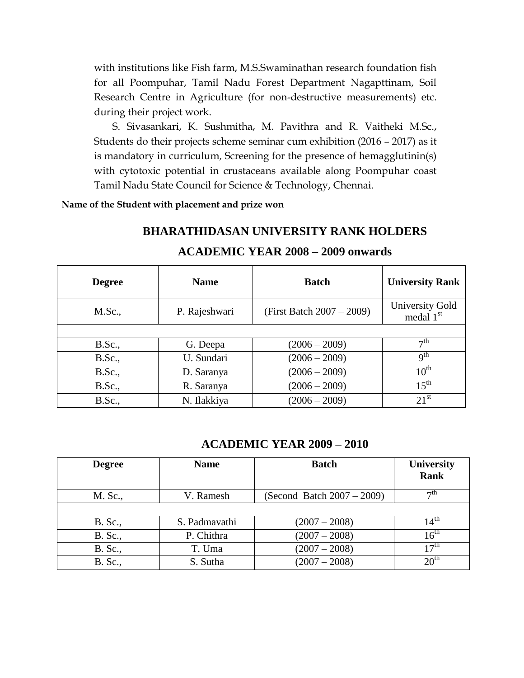with institutions like Fish farm, M.S.Swaminathan research foundation fish for all Poompuhar, Tamil Nadu Forest Department Nagapttinam, Soil Research Centre in Agriculture (for non-destructive measurements) etc. during their project work.

S. Sivasankari, K. Sushmitha, M. Pavithra and R. Vaitheki M.Sc., Students do their projects scheme seminar cum exhibition (2016 – 2017) as it is mandatory in curriculum, Screening for the presence of hemagglutinin(s) with cytotoxic potential in crustaceans available along Poompuhar coast Tamil Nadu State Council for Science & Technology, Chennai.

**Name of the Student with placement and prize won**

| <b>ACADEMIC YEAR 2008 - 2009 onwards</b> |               |                              |                                                 |  |  |  |  |  |
|------------------------------------------|---------------|------------------------------|-------------------------------------------------|--|--|--|--|--|
| <b>Degree</b>                            | <b>Name</b>   | <b>Batch</b>                 | <b>University Rank</b>                          |  |  |  |  |  |
| M.Sc.,                                   | P. Rajeshwari | (First Batch $2007 - 2009$ ) | <b>University Gold</b><br>medal 1 <sup>st</sup> |  |  |  |  |  |
|                                          |               |                              |                                                 |  |  |  |  |  |
| B.Sc.,                                   | G. Deepa      | $(2006 - 2009)$              | $\tau$ <sup>th</sup>                            |  |  |  |  |  |
| B.Sc.,                                   | U. Sundari    | $(2006 - 2009)$              | q <sup>th</sup>                                 |  |  |  |  |  |
| B.Sc.,                                   | D. Saranya    | $(2006 - 2009)$              | $10^{\text{th}}$                                |  |  |  |  |  |
| B.Sc.,                                   | R. Saranya    | $(2006 - 2009)$              | $15^{th}$                                       |  |  |  |  |  |
| <b>B.Sc.,</b>                            | N. Ilakkiya   | $(2006 - 2009)$              | $21^{st}$                                       |  |  |  |  |  |

**BHARATHIDASAN UNIVERSITY RANK HOLDERS**

#### **ACADEMIC YEAR 2009 – 2010**

| <b>Degree</b>  | <b>Name</b>   | <b>Batch</b>                  | <b>University</b><br><b>Rank</b> |
|----------------|---------------|-------------------------------|----------------------------------|
| M. Sc.,        | V. Ramesh     | (Second Batch $2007 - 2009$ ) | $\neg$ th                        |
|                |               |                               |                                  |
| <b>B.</b> Sc., | S. Padmavathi | $(2007 - 2008)$               | 14 <sup>th</sup>                 |
| <b>B.</b> Sc., | P. Chithra    | $(2007 - 2008)$               | 16 <sup>th</sup>                 |
| <b>B.</b> Sc., | T. Uma        | $(2007 - 2008)$               | 17 <sup>th</sup>                 |
| <b>B.</b> Sc., | S. Sutha      | $(2007 - 2008)$               | 20 <sup>th</sup>                 |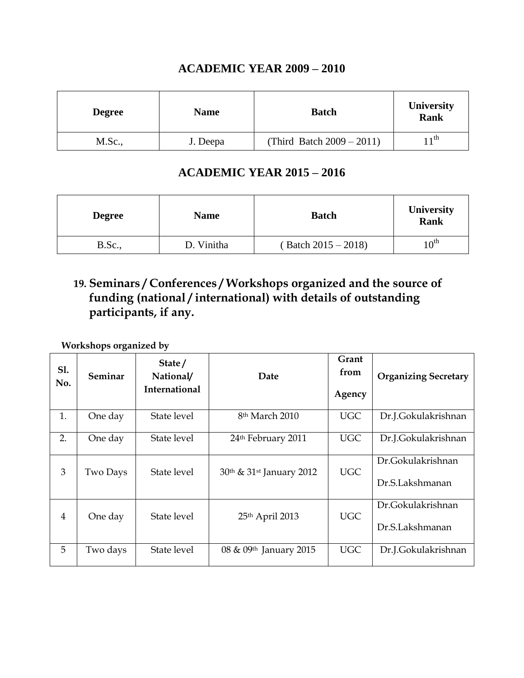#### **ACADEMIC YEAR 2009 – 2010**

| <b>Degree</b> | <b>Name</b> | <b>Batch</b>                 | <b>University</b><br><b>Rank</b> |
|---------------|-------------|------------------------------|----------------------------------|
| M.Sc.,        | J. Deepa    | (Third Batch $2009 - 2011$ ) | $11$ th                          |

#### **ACADEMIC YEAR 2015 – 2016**

| <b>Degree</b>  | <b>Name</b> | <b>Batch</b>          | <b>University</b><br>Rank |
|----------------|-------------|-----------------------|---------------------------|
| <b>B.Sc.</b> , | D. Vinitha  | $(Batch 2015 - 2018)$ | $10^{\rm th}$             |

## **19. Seminars / Conferences / Workshops organized and the source of funding (national / international) with details of outstanding participants, if any.**

**Workshops organized by** 

| S1.<br>No.     | Seminar  | State/<br>National/<br><b>International</b> | Date                                             | Grant<br>from<br>Agency | <b>Organizing Secretary</b>          |
|----------------|----------|---------------------------------------------|--------------------------------------------------|-------------------------|--------------------------------------|
| 1.             | One day  | State level                                 | 8 <sup>th</sup> March 2010                       | <b>UGC</b>              | Dr.J.Gokulakrishnan                  |
| 2.             | One day  | State level                                 | 24 <sup>th</sup> February 2011                   | <b>UGC</b>              | Dr.J.Gokulakrishnan                  |
| 3              | Two Days | State level                                 | 30 <sup>th</sup> & 31 <sup>st</sup> January 2012 | <b>UGC</b>              | Dr.Gokulakrishnan<br>Dr.S.Lakshmanan |
| $\overline{4}$ | One day  | State level                                 | 25th April 2013                                  | <b>UGC</b>              | Dr.Gokulakrishnan<br>Dr.S.Lakshmanan |
| 5              | Two days | State level                                 | 08 & 09th January 2015                           | UGC                     | Dr.J.Gokulakrishnan                  |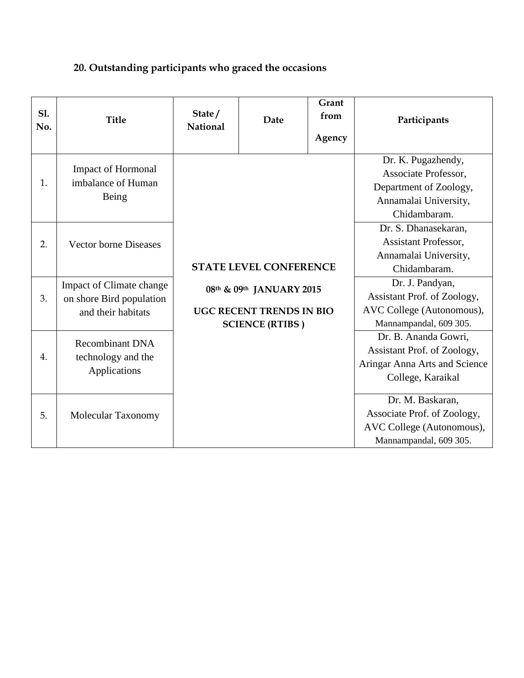## **20. Outstanding participants who graced the occasions**

| <b>S1.</b><br>No. | <b>Title</b>                                                               | State/<br><b>National</b>                                                             | Date                          | Grant<br>from<br>Agency                                                                               | Participants                                                                                                  |
|-------------------|----------------------------------------------------------------------------|---------------------------------------------------------------------------------------|-------------------------------|-------------------------------------------------------------------------------------------------------|---------------------------------------------------------------------------------------------------------------|
| 1.                | Impact of Hormonal<br>imbalance of Human<br>Being                          |                                                                                       |                               |                                                                                                       | Dr. K. Pugazhendy,<br>Associate Professor,<br>Department of Zoology,<br>Annamalai University,<br>Chidambaram. |
| 2.                | <b>Vector borne Diseases</b>                                               |                                                                                       | <b>STATE LEVEL CONFERENCE</b> |                                                                                                       | Dr. S. Dhanasekaran,<br><b>Assistant Professor,</b><br>Annamalai University,<br>Chidambaram.                  |
| 3.                | Impact of Climate change<br>on shore Bird population<br>and their habitats | 08th & 09th JANUARY 2015<br><b>UGC RECENT TRENDS IN BIO</b><br><b>SCIENCE (RTIBS)</b> |                               | Dr. J. Pandyan,<br>Assistant Prof. of Zoology,<br>AVC College (Autonomous),<br>Mannampandal, 609 305. |                                                                                                               |
| 4.                | <b>Recombinant DNA</b><br>technology and the<br>Applications               |                                                                                       |                               |                                                                                                       | Dr. B. Ananda Gowri,<br>Assistant Prof. of Zoology,<br>Aringar Anna Arts and Science<br>College, Karaikal     |
| 5.                | Molecular Taxonomy                                                         |                                                                                       |                               |                                                                                                       | Dr. M. Baskaran,<br>Associate Prof. of Zoology,<br>AVC College (Autonomous),<br>Mannampandal, 609 305.        |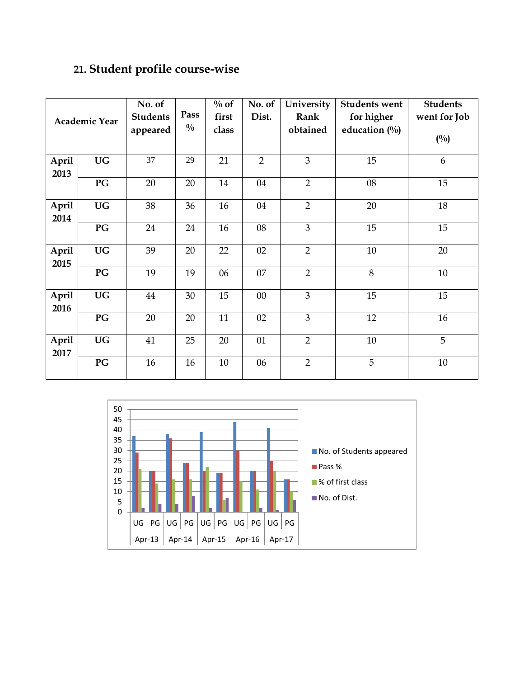## **21. Student profile course-wise**

|                      |           | No. of          |               | $\%$ of | No. of         | University     | <b>Students went</b> | <b>Students</b> |
|----------------------|-----------|-----------------|---------------|---------|----------------|----------------|----------------------|-----------------|
| <b>Academic Year</b> |           | <b>Students</b> | Pass          | first   | Dist.          | Rank           | for higher           | went for Job    |
|                      |           | appeared        | $\frac{0}{0}$ | class   |                | obtained       | education $(\%)$     |                 |
|                      |           |                 |               |         |                |                |                      | $(^{0}/_{0})$   |
| April                | <b>UG</b> | $\overline{37}$ | 29            | 21      | $\overline{2}$ | $\overline{3}$ | 15                   | 6               |
| 2013                 |           |                 |               |         |                |                |                      |                 |
|                      | PG        | 20              | 20            | 14      | 04             | $\overline{2}$ | 08                   | 15              |
| April<br>2014        | <b>UG</b> | 38              | 36            | 16      | 04             | $\overline{2}$ | 20                   | 18              |
|                      | PG        | 24              | 24            | 16      | 08             | $\overline{3}$ | 15                   | 15              |
| April<br>2015        | <b>UG</b> | 39              | 20            | 22      | 02             | $\overline{2}$ | 10                   | 20              |
|                      | PG        | 19              | 19            | 06      | 07             | $\overline{2}$ | 8                    | 10              |
| April<br>2016        | <b>UG</b> | 44              | 30            | 15      | $00\,$         | $\overline{3}$ | 15                   | 15              |
|                      | PG        | 20              | 20            | 11      | 02             | $\overline{3}$ | 12                   | 16              |
| April<br>2017        | <b>UG</b> | 41              | 25            | 20      | 01             | $\overline{2}$ | 10                   | 5               |
|                      | PG        | 16              | 16            | $10\,$  | 06             | $\overline{2}$ | 5                    | $10\,$          |

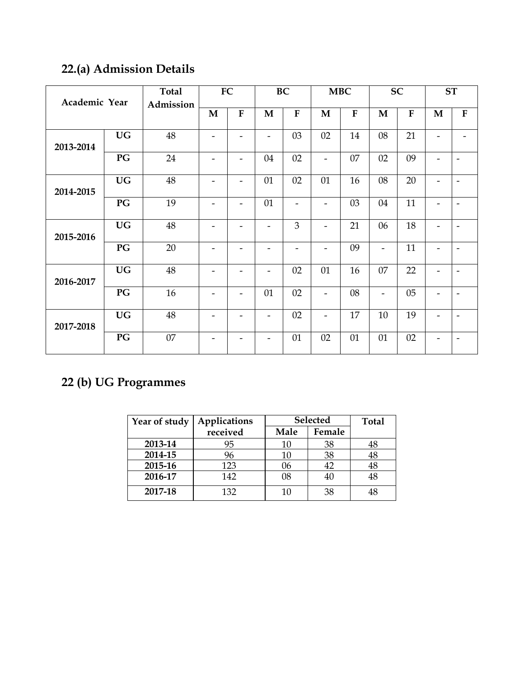## **22.(a) Admission Details**

| Academic Year |           | <b>Total</b> |                          | <b>FC</b>                |                              | <b>BC</b>                |                          | <b>MBC</b> |                          | <b>SC</b> |                          | <b>ST</b>                |
|---------------|-----------|--------------|--------------------------|--------------------------|------------------------------|--------------------------|--------------------------|------------|--------------------------|-----------|--------------------------|--------------------------|
|               |           | Admission    | M                        | ${\bf F}$                | $\mathbf{M}$                 | ${\bf F}$                | $\mathbf{M}$             | ${\bf F}$  | $\mathbf M$              | ${\bf F}$ | M                        | ${\bf F}$                |
|               |           |              |                          |                          |                              |                          |                          |            |                          |           |                          |                          |
| 2013-2014     | <b>UG</b> | 48           |                          |                          | $\overline{\phantom{0}}$     | 03                       | 02                       | 14         | 08                       | 21        |                          |                          |
|               | PG        | 24           | $\overline{\phantom{a}}$ | $\overline{\phantom{a}}$ | 04                           | 02                       | $\overline{\phantom{a}}$ | 07         | 02                       | 09        | $\overline{\phantom{0}}$ | $\overline{\phantom{a}}$ |
| 2014-2015     | <b>UG</b> | 48           | $\overline{\phantom{a}}$ | $\overline{\phantom{0}}$ | 01                           | 02                       | 01                       | 16         | 08                       | 20        | -                        | $\overline{\phantom{a}}$ |
|               | PG        | 19           |                          | -                        | 01                           | $\overline{\phantom{0}}$ | $\overline{\phantom{a}}$ | 03         | 04                       | 11        |                          | $\overline{\phantom{a}}$ |
| 2015-2016     | <b>UG</b> | 48           |                          |                          |                              | 3                        | $\overline{\phantom{0}}$ | 21         | 06                       | 18        |                          | -                        |
|               | PG        | 20           | -                        | -                        |                              | -                        | $\overline{\phantom{a}}$ | 09         | $\overline{\phantom{a}}$ | 11        |                          | $\overline{\phantom{a}}$ |
| 2016-2017     | <b>UG</b> | $48\,$       | -                        |                          | -                            | 02                       | 01                       | 16         | 07                       | 22        |                          | -                        |
|               | PG        | 16           | $\overline{\phantom{0}}$ | $\overline{\phantom{0}}$ | 01                           | 02                       | $\overline{\phantom{a}}$ | 08         | $\overline{\phantom{a}}$ | 05        |                          | $\overline{\phantom{a}}$ |
| 2017-2018     | <b>UG</b> | 48           |                          |                          | ۰                            | 02                       | $\overline{\phantom{a}}$ | 17         | 10                       | 19        |                          | $\overline{\phantom{a}}$ |
|               | PG        | 07           | $\overline{\phantom{a}}$ | $\overline{\phantom{0}}$ | $\qquad \qquad \blacksquare$ | 01                       | 02                       | 01         | 01                       | 02        | -                        | $\overline{\phantom{a}}$ |

## **22 (b) UG Programmes**

| Year of study | Applications | <b>Selected</b> |        | <b>Total</b> |
|---------------|--------------|-----------------|--------|--------------|
|               | received     | Male            | Female |              |
| 2013-14       | 95           | 10              | 38     | 48           |
| 2014-15       | 96           | 10              | 38     | 48           |
| 2015-16       | 123          | 06              | 42     | 48           |
| 2016-17       | 142          | 08              | 40     | 48           |
| 2017-18       | 132          | 10              | 38     | 48           |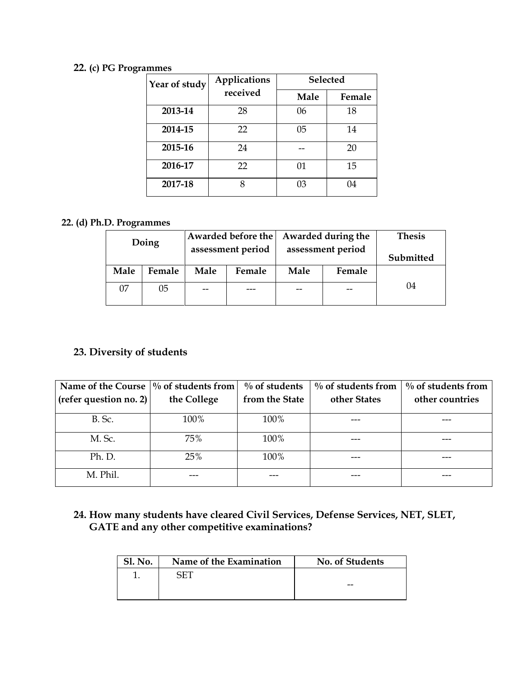#### **22. (c) PG Programmes**

| Year of study | Applications | <b>Selected</b> |        |  |
|---------------|--------------|-----------------|--------|--|
|               | received     | Male            | Female |  |
| 2013-14       | 28           | 06              | 18     |  |
| 2014-15       | 22           | 05              | 14     |  |
| 2015-16       | 24           |                 | 20     |  |
| 2016-17       | 22           | 01              | 15     |  |
| 2017-18       |              | 03              | 04     |  |

#### **22. (d) Ph.D. Programmes**

| Doing |        | Awarded before the |                                        |      | Awarded during the | <b>Thesis</b> |
|-------|--------|--------------------|----------------------------------------|------|--------------------|---------------|
|       |        |                    | assessment period<br>assessment period |      | Submitted          |               |
| Male  | Female | Male               | Female                                 | Male | Female             |               |
| 07    | 05     | --                 | ---                                    | --   | --                 | 04            |

#### **23. Diversity of students**

| Name of the Course $\frac{1}{6}$ of students from<br>(refer question no. 2) | the College | $\%$ of students<br>from the State | $\%$ of students from<br>other States | $\%$ of students from<br>other countries |
|-----------------------------------------------------------------------------|-------------|------------------------------------|---------------------------------------|------------------------------------------|
| <b>B.</b> Sc.                                                               | 100%        | 100%                               |                                       |                                          |
| M. Sc.                                                                      | 75%         | 100%                               |                                       |                                          |
| Ph. D.                                                                      | 25%         | 100%                               |                                       |                                          |
| M. Phil.                                                                    |             |                                    |                                       |                                          |

#### **24. How many students have cleared Civil Services, Defense Services, NET, SLET, GATE and any other competitive examinations?**

| <b>Sl. No.</b> | Name of the Examination | No. of Students |
|----------------|-------------------------|-----------------|
|                |                         |                 |
|                |                         | --              |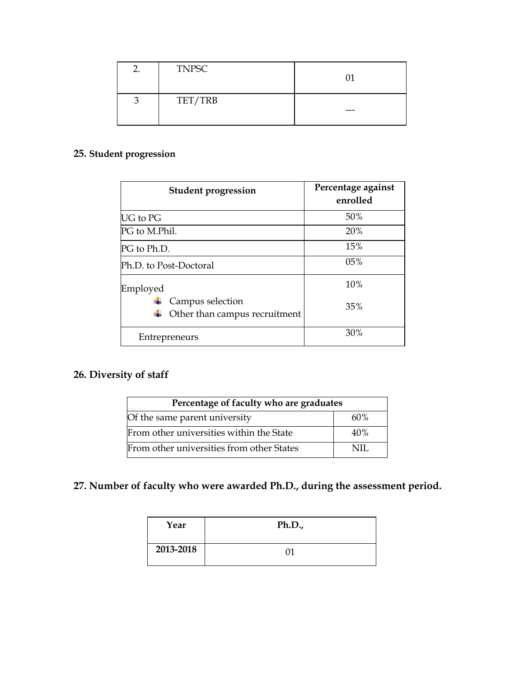| <b>TNPSC</b> |     |
|--------------|-----|
| TET/TRB      | --- |

#### **25. Student progression**

| <b>Student progression</b>                        | Percentage against<br>enrolled |
|---------------------------------------------------|--------------------------------|
| <b>UG</b> to PG                                   | 50%                            |
| PG to M.Phil.                                     | 20%                            |
| PG to Ph.D.                                       | 15%                            |
| Ph.D. to Post-Doctoral                            | 05%                            |
| Employed                                          | 10%                            |
| Campus selection<br>Other than campus recruitment | 35%                            |
| Entrepreneurs                                     | 30%                            |

### **26. Diversity of staff**

| Percentage of faculty who are graduates   |     |  |  |  |
|-------------------------------------------|-----|--|--|--|
| Of the same parent university             | 60% |  |  |  |
| From other universities within the State  | 40% |  |  |  |
| From other universities from other States | NH. |  |  |  |

### **27. Number of faculty who were awarded Ph.D., during the assessment period.**

| Year      | Ph.D., |
|-----------|--------|
| 2013-2018 |        |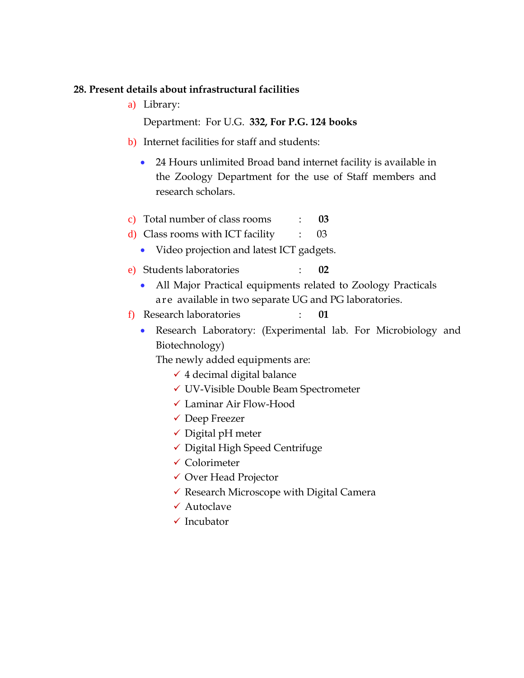#### **28. Present details about infrastructural facilities**

a) Library:

Department: For U.G. **332, For P.G. 124 books**

- b) Internet facilities for staff and students:
	- 24 Hours unlimited Broad band internet facility is available in the Zoology Department for the use of Staff members and research scholars.
- c) Total number of class rooms : **03**
- d) Class rooms with ICT facility : 03
	- Video projection and latest ICT gadgets.
- e) Students laboratories : **02**
	- All Major Practical equipments related to Zoology Practicals are available in two separate UG and PG laboratories.
- f) Research laboratories : **01**
	- Research Laboratory: (Experimental lab. For Microbiology and Biotechnology)

The newly added equipments are:

- $\checkmark$  4 decimal digital balance
- UV-Visible Double Beam Spectrometer
- Laminar Air Flow-Hood
- Deep Freezer
- $\checkmark$  Digital pH meter
- $\checkmark$  Digital High Speed Centrifuge
- $\checkmark$  Colorimeter
- Over Head Projector
- $\checkmark$  Research Microscope with Digital Camera
- Autoclave
- $\checkmark$  Incubator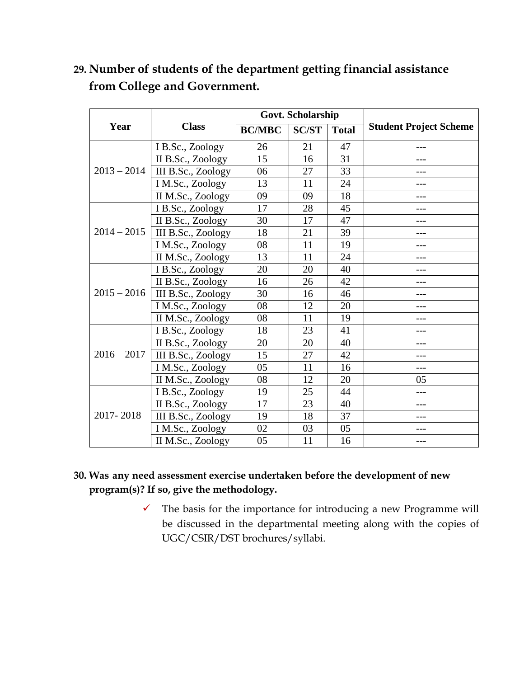|               |                    |               | Govt. Scholarship |              |                               |
|---------------|--------------------|---------------|-------------------|--------------|-------------------------------|
| Year          | <b>Class</b>       | <b>BC/MBC</b> | <b>SC/ST</b>      | <b>Total</b> | <b>Student Project Scheme</b> |
|               | I B.Sc., Zoology   | 26            | 21                | 47           |                               |
|               | II B.Sc., Zoology  | 15            | 16                | 31           |                               |
| $2013 - 2014$ | III B.Sc., Zoology | 06            | 27                | 33           | ---                           |
|               | I M.Sc., Zoology   | 13            | 11                | 24           |                               |
|               | II M.Sc., Zoology  | 09            | 09                | 18           |                               |
|               | I B.Sc., Zoology   | 17            | 28                | 45           | ---                           |
|               | II B.Sc., Zoology  | 30            | 17                | 47           |                               |
| $2014 - 2015$ | III B.Sc., Zoology | 18            | 21                | 39           |                               |
|               | I M.Sc., Zoology   | 08            | 11                | 19           | $- - -$                       |
|               | II M.Sc., Zoology  | 13            | 11                | 24           |                               |
|               | I B.Sc., Zoology   | 20            | 20                | 40           |                               |
|               | II B.Sc., Zoology  | 16            | 26                | 42           | ---                           |
| $2015 - 2016$ | III B.Sc., Zoology | 30            | 16                | 46           | ---                           |
|               | I M.Sc., Zoology   | 08            | 12                | 20           |                               |
|               | II M.Sc., Zoology  | 08            | 11                | 19           |                               |
|               | I B.Sc., Zoology   | 18            | 23                | 41           |                               |
|               | II B.Sc., Zoology  | 20            | 20                | 40           | ---                           |
| $2016 - 2017$ | III B.Sc., Zoology | 15            | 27                | 42           |                               |
|               | I M.Sc., Zoology   | 05            | 11                | 16           |                               |
|               | II M.Sc., Zoology  | 08            | 12                | 20           | 05                            |
|               | I B.Sc., Zoology   | 19            | 25                | 44           | ---                           |
|               | II B.Sc., Zoology  | 17            | 23                | 40           | ---                           |
| 2017-2018     | III B.Sc., Zoology | 19            | 18                | 37           | ---                           |
|               | I M.Sc., Zoology   | 02            | 03                | 05           |                               |
|               | II M.Sc., Zoology  | 05            | 11                | 16           | ---                           |

## **29. Number of students of the department getting financial assistance from College and Government.**

#### **30. Was any need assessment exercise undertaken before the development of new program(s)? If so, give the methodology.**

 $\checkmark$  The basis for the importance for introducing a new Programme will be discussed in the departmental meeting along with the copies of UGC/CSIR/DST brochures/syllabi.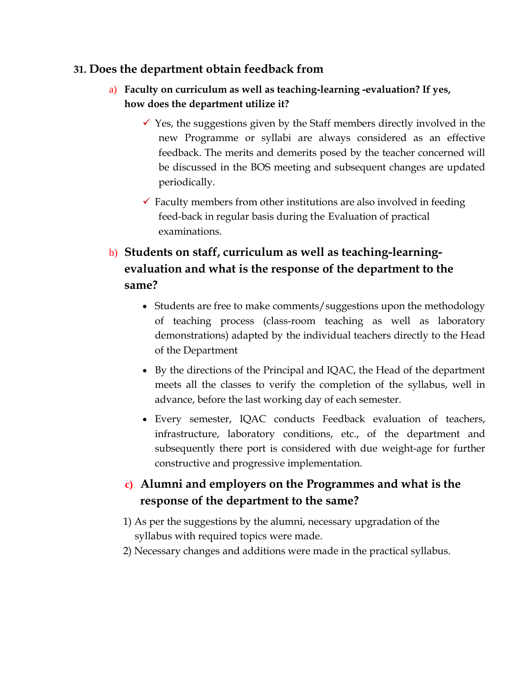#### **31. Does the department obtain feedback from**

- a) **Faculty on curriculum as well as teaching-learning -evaluation? If yes, how does the department utilize it?**
	- $\checkmark$  Yes, the suggestions given by the Staff members directly involved in the new Programme or syllabi are always considered as an effective feedback. The merits and demerits posed by the teacher concerned will be discussed in the BOS meeting and subsequent changes are updated periodically.
	- $\checkmark$  Faculty members from other institutions are also involved in feeding feed-back in regular basis during the Evaluation of practical examinations.

## b) **Students on staff, curriculum as well as teaching-learningevaluation and what is the response of the department to the same?**

- Students are free to make comments/suggestions upon the methodology of teaching process (class-room teaching as well as laboratory demonstrations) adapted by the individual teachers directly to the Head of the Department
- By the directions of the Principal and IQAC, the Head of the department meets all the classes to verify the completion of the syllabus, well in advance, before the last working day of each semester.
- Every semester, IQAC conducts Feedback evaluation of teachers, infrastructure, laboratory conditions, etc., of the department and subsequently there port is considered with due weight-age for further constructive and progressive implementation.

## **c) Alumni and employers on the Programmes and what is the response of the department to the same?**

- 1) As per the suggestions by the alumni, necessary upgradation of the syllabus with required topics were made.
- 2) Necessary changes and additions were made in the practical syllabus.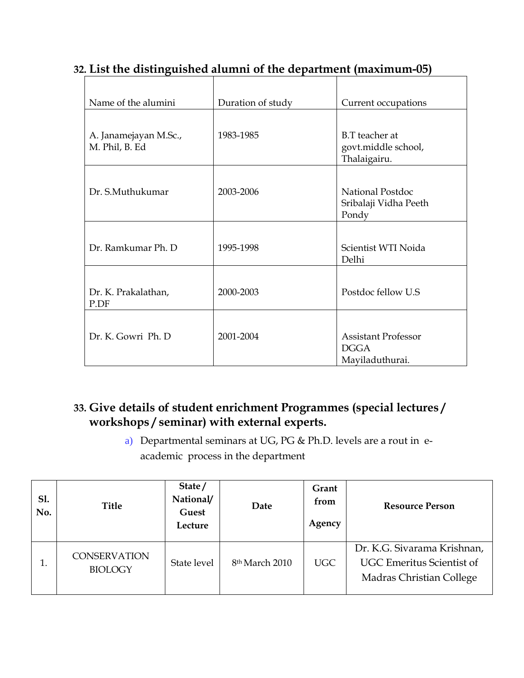| Name of the alumini                     | Duration of study | Current occupations                                          |
|-----------------------------------------|-------------------|--------------------------------------------------------------|
| A. Janamejayan M.Sc.,<br>M. Phil, B. Ed | 1983-1985         | B.T teacher at<br>govt.middle school,<br>Thalaigairu.        |
| Dr. S.Muthukumar                        | 2003-2006         | National Postdoc<br>Sribalaji Vidha Peeth<br>Pondy           |
| Dr. Ramkumar Ph. D.                     | 1995-1998         | Scientist WTI Noida<br>Delhi                                 |
| Dr. K. Prakalathan,<br>P.DF             | 2000-2003         | Postdoc fellow U.S                                           |
| Dr. K. Gowri Ph. D                      | 2001-2004         | <b>Assistant Professor</b><br><b>DGGA</b><br>Mayiladuthurai. |

## **32. List the distinguished alumni of the department (maximum-05)**

## **33. Give details of student enrichment Programmes (special lectures / workshops / seminar) with external experts.**

a) Departmental seminars at UG, PG & Ph.D. levels are a rout in eacademic process in the department

| Sl.<br>No. | Title                                 | State/<br>National/<br>Guest<br>Lecture | Date                       | Grant<br>from<br>Agency | <b>Resource Person</b>                                                                      |
|------------|---------------------------------------|-----------------------------------------|----------------------------|-------------------------|---------------------------------------------------------------------------------------------|
|            | <b>CONSERVATION</b><br><b>BIOLOGY</b> | State level                             | 8 <sup>th</sup> March 2010 | UGC                     | Dr. K.G. Sivarama Krishnan,<br><b>UGC Emeritus Scientist of</b><br>Madras Christian College |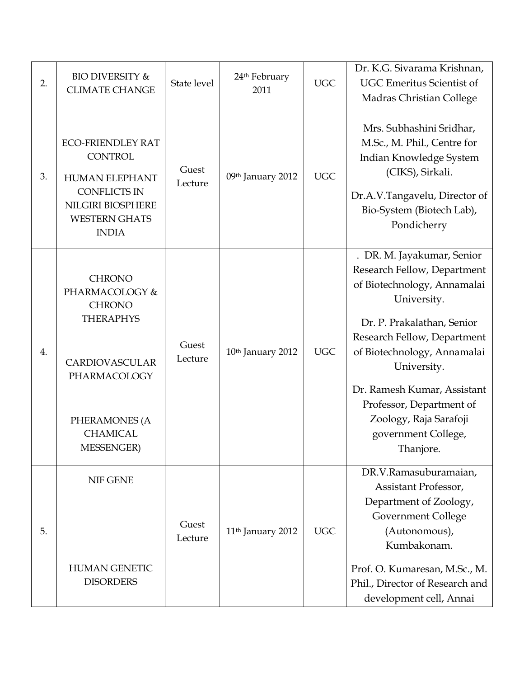| 2. | <b>BIO DIVERSITY &amp;</b><br><b>CLIMATE CHANGE</b>                                                                                                             | State level      | 24 <sup>th</sup> February<br>2011 | <b>UGC</b> | Dr. K.G. Sivarama Krishnan,<br><b>UGC Emeritus Scientist of</b><br>Madras Christian College                                                                                                                                                                                                                                                 |
|----|-----------------------------------------------------------------------------------------------------------------------------------------------------------------|------------------|-----------------------------------|------------|---------------------------------------------------------------------------------------------------------------------------------------------------------------------------------------------------------------------------------------------------------------------------------------------------------------------------------------------|
| 3. | <b>ECO-FRIENDLEY RAT</b><br><b>CONTROL</b><br><b>HUMAN ELEPHANT</b><br><b>CONFLICTS IN</b><br>NILGIRI BIOSPHERE<br><b>WESTERN GHATS</b><br><b>INDIA</b>         | Guest<br>Lecture | 09th January 2012                 | <b>UGC</b> | Mrs. Subhashini Sridhar,<br>M.Sc., M. Phil., Centre for<br>Indian Knowledge System<br>(CIKS), Sirkali.<br>Dr.A.V.Tangavelu, Director of<br>Bio-System (Biotech Lab),<br>Pondicherry                                                                                                                                                         |
| 4. | <b>CHRONO</b><br>PHARMACOLOGY &<br><b>CHRONO</b><br><b>THERAPHYS</b><br>CARDIOVASCULAR<br>PHARMACOLOGY<br>PHERAMONES (A<br><b>CHAMICAL</b><br><b>MESSENGER)</b> | Guest<br>Lecture | 10th January 2012                 | <b>UGC</b> | . DR. M. Jayakumar, Senior<br>Research Fellow, Department<br>of Biotechnology, Annamalai<br>University.<br>Dr. P. Prakalathan, Senior<br>Research Fellow, Department<br>of Biotechnology, Annamalai<br>University.<br>Dr. Ramesh Kumar, Assistant<br>Professor, Department of<br>Zoology, Raja Sarafoji<br>government College,<br>Thanjore. |
| 5. | <b>NIF GENE</b><br><b>HUMAN GENETIC</b><br><b>DISORDERS</b>                                                                                                     | Guest<br>Lecture | 11 <sup>th</sup> January 2012     | <b>UGC</b> | DR.V.Ramasuburamaian,<br>Assistant Professor,<br>Department of Zoology,<br><b>Government College</b><br>(Autonomous),<br>Kumbakonam.<br>Prof. O. Kumaresan, M.Sc., M.<br>Phil., Director of Research and<br>development cell, Annai                                                                                                         |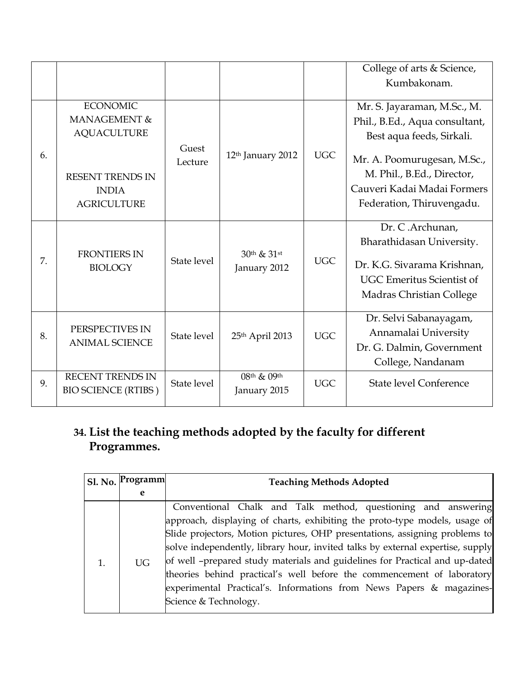|    |                                                                                                                        |                  |                               |            | College of arts & Science,<br>Kumbakonam.                                                                                                                                                                           |
|----|------------------------------------------------------------------------------------------------------------------------|------------------|-------------------------------|------------|---------------------------------------------------------------------------------------------------------------------------------------------------------------------------------------------------------------------|
| 6. | <b>ECONOMIC</b><br>MANAGEMENT &<br><b>AQUACULTURE</b><br><b>RESENT TRENDS IN</b><br><b>INDIA</b><br><b>AGRICULTURE</b> | Guest<br>Lecture | 12 <sup>th</sup> January 2012 | <b>UGC</b> | Mr. S. Jayaraman, M.Sc., M.<br>Phil., B.Ed., Aqua consultant,<br>Best aqua feeds, Sirkali.<br>Mr. A. Poomurugesan, M.Sc.,<br>M. Phil., B.Ed., Director,<br>Cauveri Kadai Madai Formers<br>Federation, Thiruvengadu. |
| 7. | <b>FRONTIERS IN</b><br><b>BIOLOGY</b>                                                                                  | State level      | 30th & 31st<br>January 2012   | <b>UGC</b> | Dr. C.Archunan,<br>Bharathidasan University.<br>Dr. K.G. Sivarama Krishnan,<br><b>UGC Emeritus Scientist of</b><br>Madras Christian College                                                                         |
| 8. | PERSPECTIVES IN<br><b>ANIMAL SCIENCE</b>                                                                               | State level      | 25th April 2013               | <b>UGC</b> | Dr. Selvi Sabanayagam,<br>Annamalai University<br>Dr. G. Dalmin, Government<br>College, Nandanam                                                                                                                    |
| 9. | <b>RECENT TRENDS IN</b><br><b>BIO SCIENCE (RTIBS)</b>                                                                  | State level      | 08th & 09th<br>January 2015   | <b>UGC</b> | <b>State level Conference</b>                                                                                                                                                                                       |

## **34. List the teaching methods adopted by the faculty for different Programmes.**

| Sl. No. | Programm  | <b>Teaching Methods Adopted</b>                                                |
|---------|-----------|--------------------------------------------------------------------------------|
|         | e         |                                                                                |
|         |           | Conventional Chalk and Talk method, questioning and answering                  |
| 1.      |           | approach, displaying of charts, exhibiting the proto-type models, usage of     |
|         | <b>UG</b> | Slide projectors, Motion pictures, OHP presentations, assigning problems to    |
|         |           | solve independently, library hour, invited talks by external expertise, supply |
|         |           | of well -prepared study materials and guidelines for Practical and up-dated    |
|         |           | theories behind practical's well before the commencement of laboratory         |
|         |           | experimental Practical's. Informations from News Papers & magazines-           |
|         |           | Science & Technology.                                                          |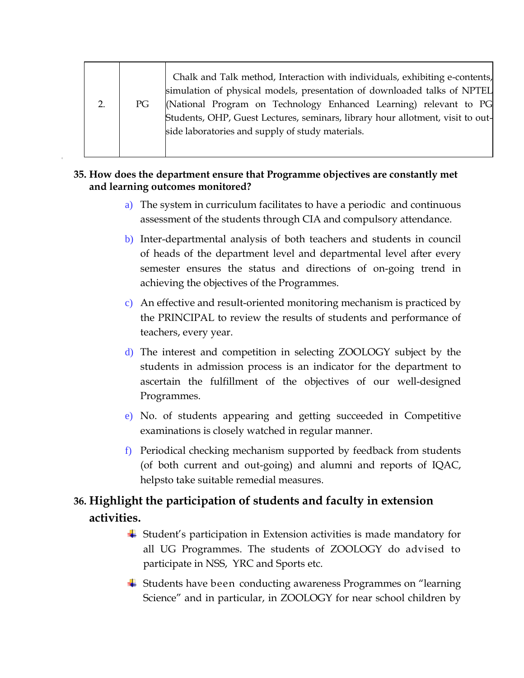| PG | Chalk and Talk method, Interaction with individuals, exhibiting e-contents,<br>simulation of physical models, presentation of downloaded talks of NPTEL<br>(National Program on Technology Enhanced Learning) relevant to PG<br>Students, OHP, Guest Lectures, seminars, library hour allotment, visit to out-<br>side laboratories and supply of study materials. |
|----|--------------------------------------------------------------------------------------------------------------------------------------------------------------------------------------------------------------------------------------------------------------------------------------------------------------------------------------------------------------------|
|    |                                                                                                                                                                                                                                                                                                                                                                    |
|    |                                                                                                                                                                                                                                                                                                                                                                    |

#### **35. How does the department ensure that Programme objectives are constantly met and learning outcomes monitored?**

- a) The system in curriculum facilitates to have a periodic and continuous assessment of the students through CIA and compulsory attendance.
- b) Inter-departmental analysis of both teachers and students in council of heads of the department level and departmental level after every semester ensures the status and directions of on-going trend in achieving the objectives of the Programmes.
- c) An effective and result-oriented monitoring mechanism is practiced by the PRINCIPAL to review the results of students and performance of teachers, every year.
- d) The interest and competition in selecting ZOOLOGY subject by the students in admission process is an indicator for the department to ascertain the fulfillment of the objectives of our well-designed Programmes.
- e) No. of students appearing and getting succeeded in Competitive examinations is closely watched in regular manner.
- f) Periodical checking mechanism supported by feedback from students (of both current and out-going) and alumni and reports of IQAC, helpsto take suitable remedial measures.

## **36. Highlight the participation of students and faculty in extension activities.**

- Student's participation in Extension activities is made mandatory for all UG Programmes. The students of ZOOLOGY do advised to participate in NSS, YRC and Sports etc.
- Students have been conducting awareness Programmes on "learning Science" and in particular, in ZOOLOGY for near school children by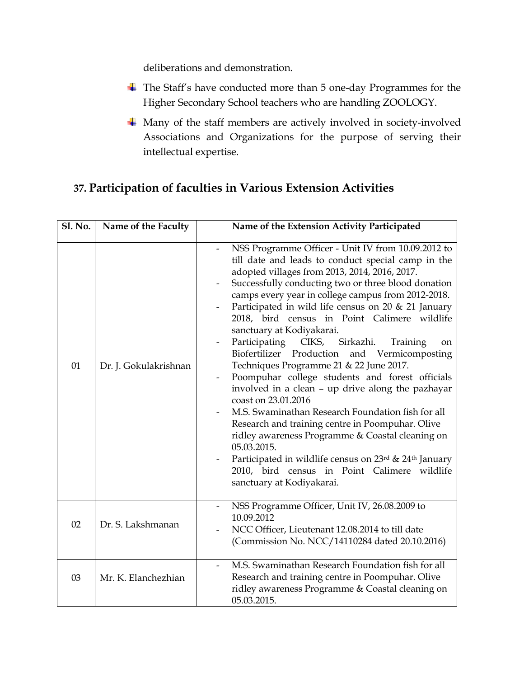deliberations and demonstration.

- The Staff's have conducted more than 5 one-day Programmes for the Higher Secondary School teachers who are handling ZOOLOGY.
- Many of the staff members are actively involved in society-involved Associations and Organizations for the purpose of serving their intellectual expertise.

## **37. Participation of faculties in Various Extension Activities**

| <b>Sl. No.</b> | Name of the Faculty   | Name of the Extension Activity Participated                                                                                                                                                                                                                                                                                                                                                                                                                                                                                                                                                                                                                                                                                                                                                                                                                                                                                                                                                                         |
|----------------|-----------------------|---------------------------------------------------------------------------------------------------------------------------------------------------------------------------------------------------------------------------------------------------------------------------------------------------------------------------------------------------------------------------------------------------------------------------------------------------------------------------------------------------------------------------------------------------------------------------------------------------------------------------------------------------------------------------------------------------------------------------------------------------------------------------------------------------------------------------------------------------------------------------------------------------------------------------------------------------------------------------------------------------------------------|
| 01             | Dr. J. Gokulakrishnan | NSS Programme Officer - Unit IV from 10.09.2012 to<br>till date and leads to conduct special camp in the<br>adopted villages from 2013, 2014, 2016, 2017.<br>Successfully conducting two or three blood donation<br>camps every year in college campus from 2012-2018.<br>Participated in wild life census on 20 & 21 January<br>2018, bird census in Point Calimere wildlife<br>sanctuary at Kodiyakarai.<br>Participating<br>CIKS, Sirkazhi.<br>Training<br>on<br>Biofertilizer<br>Production<br>and Vermicomposting<br>Techniques Programme 21 & 22 June 2017.<br>Poompuhar college students and forest officials<br>involved in a clean - up drive along the pazhayar<br>coast on 23.01.2016<br>M.S. Swaminathan Research Foundation fish for all<br>Research and training centre in Poompuhar. Olive<br>ridley awareness Programme & Coastal cleaning on<br>05.03.2015.<br>Participated in wildlife census on 23rd & 24th January<br>2010, bird census in Point Calimere wildlife<br>sanctuary at Kodiyakarai. |
| 02             | Dr. S. Lakshmanan     | NSS Programme Officer, Unit IV, 26.08.2009 to<br>10.09.2012<br>NCC Officer, Lieutenant 12.08.2014 to till date<br>(Commission No. NCC/14110284 dated 20.10.2016)                                                                                                                                                                                                                                                                                                                                                                                                                                                                                                                                                                                                                                                                                                                                                                                                                                                    |
| 03             | Mr. K. Elanchezhian   | M.S. Swaminathan Research Foundation fish for all<br>Research and training centre in Poompuhar. Olive<br>ridley awareness Programme & Coastal cleaning on<br>05.03.2015.                                                                                                                                                                                                                                                                                                                                                                                                                                                                                                                                                                                                                                                                                                                                                                                                                                            |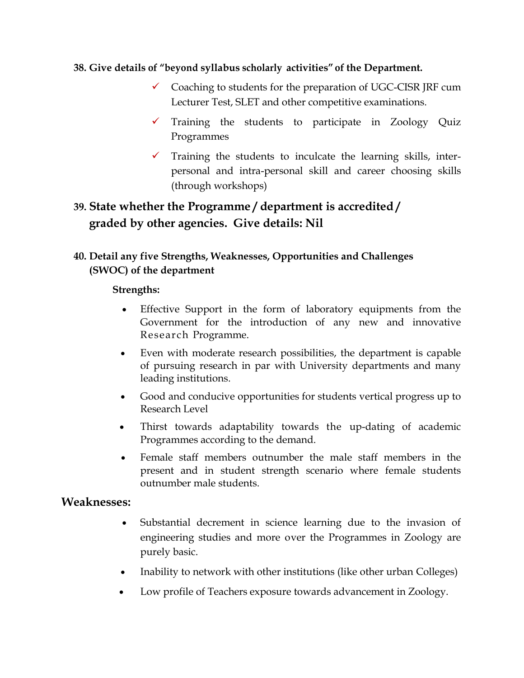#### **38. Give details of "beyond syllabus scholarly activities" of the Department.**

- $\checkmark$  Coaching to students for the preparation of UGC-CISR JRF cum Lecturer Test, SLET and other competitive examinations.
- $\checkmark$  Training the students to participate in Zoology Quiz Programmes
- $\checkmark$  Training the students to inculcate the learning skills, interpersonal and intra-personal skill and career choosing skills (through workshops)

## **39. State whether the Programme / department is accredited / graded by other agencies. Give details: Nil**

#### **40. Detail any five Strengths, Weaknesses, Opportunities and Challenges (SWOC) of the department**

#### **Strengths:**

- Effective Support in the form of laboratory equipments from the Government for the introduction of any new and innovative Research Programme.
- Even with moderate research possibilities, the department is capable of pursuing research in par with University departments and many leading institutions.
- Good and conducive opportunities for students vertical progress up to Research Level
- Thirst towards adaptability towards the up-dating of academic Programmes according to the demand.
- Female staff members outnumber the male staff members in the present and in student strength scenario where female students outnumber male students.

#### **Weaknesses:**

- Substantial decrement in science learning due to the invasion of engineering studies and more over the Programmes in Zoology are purely basic.
- Inability to network with other institutions (like other urban Colleges)
- Low profile of Teachers exposure towards advancement in Zoology.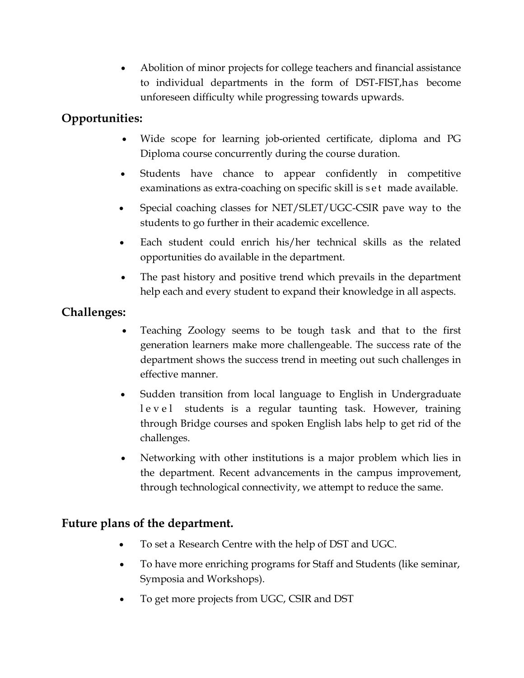Abolition of minor projects for college teachers and financial assistance to individual departments in the form of DST-FIST,has become unforeseen difficulty while progressing towards upwards.

## **Opportunities:**

- Wide scope for learning job-oriented certificate, diploma and PG Diploma course concurrently during the course duration.
- Students have chance to appear confidently in competitive examinations as extra-coaching on specific skill is set made available.
- Special coaching classes for NET/SLET/UGC-CSIR pave way to the students to go further in their academic excellence.
- Each student could enrich his/her technical skills as the related opportunities do available in the department.
- The past history and positive trend which prevails in the department help each and every student to expand their knowledge in all aspects.

### **Challenges:**

- Teaching Zoology seems to be tough task and that to the first generation learners make more challengeable. The success rate of the department shows the success trend in meeting out such challenges in effective manner.
- Sudden transition from local language to English in Undergraduate level students is a regular taunting task. However, training through Bridge courses and spoken English labs help to get rid of the challenges.
- Networking with other institutions is a major problem which lies in the department. Recent advancements in the campus improvement, through technological connectivity, we attempt to reduce the same.

#### **Future plans of the department.**

- To set a Research Centre with the help of DST and UGC.
- To have more enriching programs for Staff and Students (like seminar, Symposia and Workshops).
- To get more projects from UGC, CSIR and DST